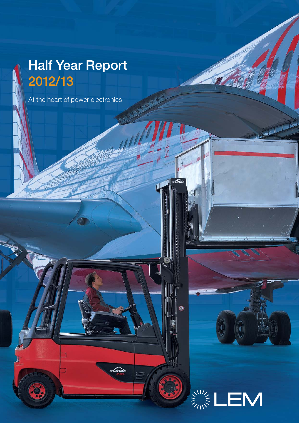# **Half Year Report 2012/13**

At the heart of power electronics

**ANG** 

h

Linde



F.

Ø

فكلملط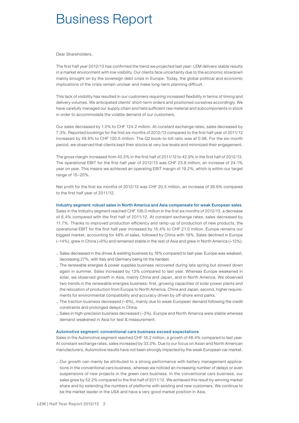## Business Report

Dear Shareholders,

The first half year 2012/13 has confirmed the trend we projected last year: LEM delivers stable results in a market environment with low visibility. Our clients face uncertainty due to the economic slowdown mainly brought on by the sovereign debt crisis in Europe. Today, the global political and economic implications of the crisis remain unclear and make long-term planning difficult.

This lack of visibility has resulted in our customers requiring increased flexibility in terms of timing and delivery volumes. We anticipated clients' short-term orders and positioned ourselves accordingly. We have carefully managed our supply chain and held sufficient raw material and subcomponents in stock in order to accommodate the volatile demand of our customers.

Our sales decreased by 1.0% to CHF 124.2 million. At constant exchange rates, sales decreased by 7.3%. Reported bookings for the first six months of 2012/13 compared to the first half year of 2011/12 increased by 49.8% to CHF 120.5 million. The Q2 book-to-bill ratio was at 0.98. For the six-month period, we observed that clients kept their stocks at very low levels and minimized their engagement.

The gross margin increased from 40.5% in the first half of 2011/12 to 42.9% in the first half of 2012/13. The operational EBIT for the first half year of 2012/13 was CHF 23.8 million, an increase of 24.1% year on year. This means we achieved an operating EBIT margin of 19.2%, which is within our target range of 15–20%.

Net profit for the first six months of 2012/13 was CHF 20.5 million, an increase of 36.6% compared to the first half year of 2011/12.

**Industry segment: robust sales in North America and Asia compensate for weak European sales** Sales in the Industry segment reached CHF 106.0 million in the first six months of 2012/13, a decrease of 6.4% compared with the first half of 2011/12. At constant exchange rates, sales decreased by 11.7%. Thanks to improved production efficiency and ramp-up of production of new products, the operational EBIT for the first half year increased by 15.4% to CHF 21.0 million. Europe remains our biggest market, accounting for 48% of sales, followed by China with 19%. Sales declined in Europe (–14%), grew in China (+6%) and remained stable in the rest of Asia and grew in North America (+12%).

- \_ Sales decreased in the drives & welding business by 18% compared to last year. Europe was weakest, decreasing 27%, with Italy and Germany being hit the hardest.
- \_ The renewable energies & power supplies business recovered during late spring but slowed down again in summer. Sales increased by 13% compared to last year. Whereas Europe weakened in solar, we observed growth in Asia, mainly China and Japan, and in North America. We observed two trends in the renewable energies business: first, growing capacities of solar power plants and the relocation of production from Europe to North America, China and Japan; second, higher requirements for environmental compatibility and accuracy driven by off-shore wind parks.
- \_ The traction business decreased (–6%), mainly due to weak European demand following the credit constraints and prolonged delays in China.
- \_ Sales in high-precision business decreased (–3%). Europe and North America were stable whereas demand weakened in Asia for test & measurement.

### **Automotive segment: conventional cars business exceed expectations**

Sales in the Automotive segment reached CHF 18.2 million, a growth of 48.4% compared to last year. At constant exchange rates, sales increased by 33.0%. Due to our focus on Asian and North American manufacturers, Automotive results have not been strongly impacted by the weak European car market.

\_ Our growth can mainly be attributed to a strong performance with battery management applications in the conventional cars business, whereas we noticed an increasing number of delays or even suspensions of new projects in the green cars business. In the conventional cars business, our sales grew by 52.2% compared to the first half of 2011/12. We achieved this result by winning market share and by extending the numbers of platforms with existing and new customers. We continue to be the market leader in the USA and have a very good market position in Asia.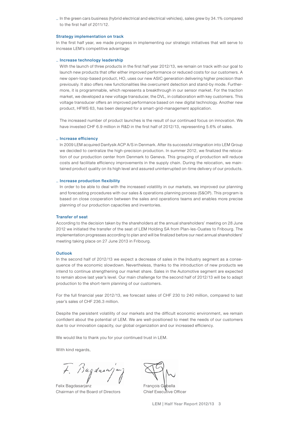\_ In the green cars business (hybrid electrical and electrical vehicles), sales grew by 34.1% compared to the first half of 2011/12.

#### **Strategy implementation on track**

In the first half year, we made progress in implementing our strategic initiatives that will serve to increase LEM's competitive advantage:

#### \_ **Increase technology leadership**

With the launch of three products in the first half year 2012/13, we remain on track with our goal to launch new products that offer either improved performance or reduced costs for our customers. A new open-loop-based product, HO, uses our new ASIC generation delivering higher precision than previously. It also offers new functionalities like overcurrent detection and stand-by mode. Furthermore, it is programmable, which represents a breakthrough in our sensor market. For the traction market, we developed a new voltage transducer, the DVL, in collaboration with key customers. This voltage transducer offers an improved performance based on new digital technology. Another new product, HFWS 63, has been designed for a smart-grid-management application.

The increased number of product launches is the result of our continued focus on innovation. We have invested CHF 6.9 million in R&D in the first half of 2012/13, representing 5.6% of sales.

#### \_ **Increase efficiency**

In 2009 LEM acquired Danfysik ACP A/S in Denmark. After its successful integration into LEM Group we decided to centralize the high-precision production. In summer 2012, we finalized the relocation of our production center from Denmark to Geneva. This grouping of production will reduce costs and facilitate efficiency improvements in the supply chain. During the relocation, we maintained product quality on its high level and assured uninterrupted on-time delivery of our products.

#### \_ **Increase production flexibility**

In order to be able to deal with the increased volatility in our markets, we improved our planning and forecasting procedures with our sales & operations planning process (S&OP). This program is based on close cooperation between the sales and operations teams and enables more precise planning of our production capacities and inventories.

### **Transfer of seat**

According to the decision taken by the shareholders at the annual shareholders' meeting on 28 June 2012 we initiated the transfer of the seat of LEM Holding SA from Plan-les-Ouates to Fribourg. The implementation progresses according to plan and will be finalized before our next annual shareholders' meeting taking place on 27 June 2013 in Fribourg.

#### **Outlook**

In the second half of 2012/13 we expect a decrease of sales in the Industry segment as a consequence of the economic slowdown. Nevertheless, thanks to the introduction of new products we intend to continue strengthening our market share. Sales in the Automotive segment are expected to remain above last year's level. Our main challenge for the second half of 2012/13 will be to adapt production to the short-term planning of our customers.

For the full financial year 2012/13, we forecast sales of CHF 230 to 240 million, compared to last year's sales of CHF 236.3 million.

Despite the persistent volatility of our markets and the difficult economic environment, we remain confident about the potential of LEM. We are well-positioned to meet the needs of our customers due to our innovation capacity, our global organization and our increased efficiency.

We would like to thank you for your continued trust in LEM.

With kind regards,

Bagdasa

Felix Bagdasarjanz Chairman of the Board of Directors

François Gabella Chief Executive Officer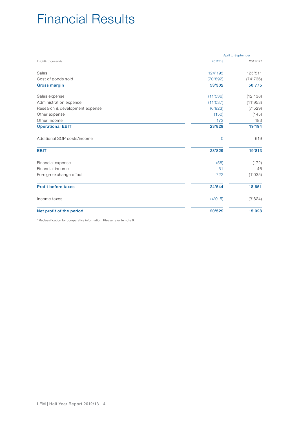## Financial Results

|                                |                | April to September |
|--------------------------------|----------------|--------------------|
| In CHF thousands               | 2012/13        | 2011/121           |
| Sales                          | 124'195        | 125'511            |
| Cost of goods sold             | (70'892)       | (74'736)           |
| <b>Gross margin</b>            | 53'302         | 50'775             |
| Sales expense                  | (11'536)       | (12'138)           |
| Administration expense         | (11'037)       | (11'953)           |
| Research & development expense | (6'923)        | (7'529)            |
| Other expense                  | (150)          | (145)              |
| Other income                   | 173            | 183                |
| <b>Operational EBIT</b>        | 23'829         | 19'194             |
| Additional SOP costs/income    | $\overline{0}$ | 619                |
| <b>EBIT</b>                    | 23'829         | 19'813             |
| Financial expense              | (58)           | (172)              |
| Financial income               | 51             | 46                 |
| Foreign exchange effect        | 722            | (1'035)            |
| <b>Profit before taxes</b>     | 24'544         | 18'651             |
| Income taxes                   | (4'015)        | (3'624)            |
| Net profit of the period       | 20'529         | 15'028             |

1 Reclassification for comparative information. Please refer to note 9.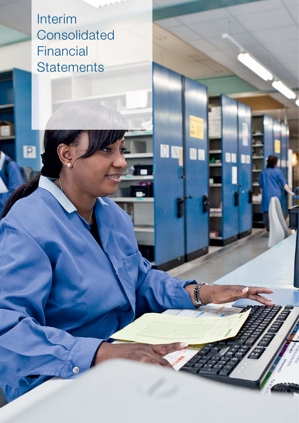Interim **Consolidated** Financial **Statements** 

**DD**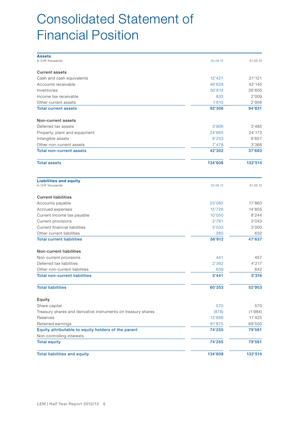## Consolidated Statement of Financial Position

| <b>Assets</b>                                                 |          |          |
|---------------------------------------------------------------|----------|----------|
| In CHF thousands                                              | 30.09.12 | 31.03.12 |
| <b>Current assets</b>                                         |          |          |
| Cash and cash equivalents                                     | 12'421   | 21'121   |
| Accounts receivable                                           | 46'629   | 42'140   |
| Inventories                                                   | 30'814   | 26'605   |
| Income tax receivable                                         | 833      | 2'009    |
| Other current assets                                          | 1'610    | 2'956    |
| <b>Total current assets</b>                                   | 92'306   | 94'831   |
|                                                               |          |          |
| Non-current assets                                            |          |          |
| Deferred tax assets                                           | 3'906    | 3'485    |
| Property, plant and equipment                                 | 24'665   | 24'173   |
| Intangible assets                                             | 6'253    | 6'657    |
| Other non-current assets                                      | 7'478    | 3'368    |
| <b>Total non-current assets</b>                               | 42'302   | 37'683   |
| <b>Total assets</b>                                           | 134'608  | 132'514  |
| <b>Liabilities and equity</b><br>In CHF thousands             | 30.09.12 | 31.03.12 |
|                                                               |          |          |
| <b>Current liabilities</b>                                    |          |          |
| Accounts payable                                              | 23'082   | 17'863   |
| Accrued expenses                                              | 15'726   | 14'855   |
| Current income tax payable                                    | 10'050   | 8'244    |
| Current provisions                                            | 2'761    | 3'043    |
| Current financial liabilities                                 | 5'033    | 3'000    |
| Other current liabilities                                     | 260      | 632      |
| <b>Total current liabilities</b>                              | 56'912   | 47'637   |
| Non-current liabilities                                       |          |          |
| Non-current provisions                                        | 441      | 457      |
| Deferred tax liabilities                                      | 2'362    | 4'217    |
| Other non-current liabilities                                 | 639      | 642      |
| <b>Total non-current liabilities</b>                          | 3'441    | 5'316    |
| <b>Total liabilities</b>                                      | 60'353   | 52'953   |
|                                                               |          |          |
| Equity                                                        |          |          |
| Share capital                                                 | 570      | 570      |
| Treasury shares and derivative instruments on treasury shares | (878)    | (1'984)  |
| Reserves                                                      | 12'688   | 11'425   |
| Retained earnings                                             | 61'875   | 69'550   |
| Equity attributable to equity holders of the parent           | 74'255   | 79'561   |
| Non-controlling interests                                     |          |          |
| <b>Total equity</b>                                           | 74'255   | 79'561   |
| <b>Total liabilities and equity</b>                           | 134'608  | 132'514  |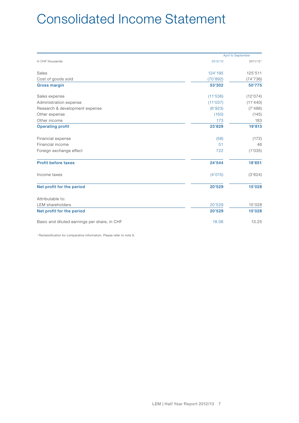## Consolidated Income Statement

|                                              | April to September |          |  |
|----------------------------------------------|--------------------|----------|--|
| In CHF thousands                             | 2012/13            | 2011/121 |  |
| Sales                                        | 124'195            | 125'511  |  |
| Cost of goods sold                           | (70'892)           | (74'736) |  |
| <b>Gross margin</b>                          | 53'302             | 50'775   |  |
| Sales expense                                | (11'536)           | (12'074) |  |
| Administration expense                       | (11'037)           | (11'440) |  |
| Research & development expense               | (6'923)            | (7'486)  |  |
| Other expense                                | (150)              | (145)    |  |
| Other income                                 | 173                | 183      |  |
| <b>Operating profit</b>                      | 23'829             | 19'813   |  |
| Financial expense                            | (58)               | (172)    |  |
| Financial income                             | 51                 | 46       |  |
| Foreign exchange effect                      | 722                | (1'035)  |  |
| <b>Profit before taxes</b>                   | 24'544             | 18'651   |  |
| Income taxes                                 | (4'015)            | (3'624)  |  |
| Net profit for the period                    | 20'529             | 15'028   |  |
| Attributable to:                             |                    |          |  |
| <b>LEM</b> shareholders                      | 20'529             | 15'028   |  |
| Net profit for the period                    | 20'529             | 15'028   |  |
| Basic and diluted earnings per share, in CHF | 18.06              | 13.25    |  |

1 Reclassification for comparative information. Please refer to note 9.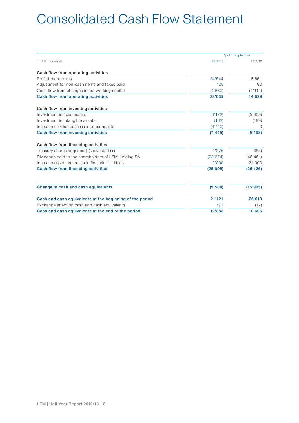## Consolidated Cash Flow Statement

|                                                          |          | <b>April to September</b> |
|----------------------------------------------------------|----------|---------------------------|
| In CHF thousands                                         | 2012/13  | 2011/12                   |
| Cash flow from operating activities                      |          |                           |
| Profit before taxes                                      | 24'544   | 18'651                    |
| Adjustment for non-cash items and taxes paid             | 125      | 90                        |
| Cash flow from changes in net working capital            | (1'630)  | (4'112)                   |
| Cash flow from operating activities                      | 23'039   | 14'629                    |
| Cash flow from investing activities                      |          |                           |
| Investment in fixed assets                               | (3'172)  | (5'309)                   |
| Investment in intangible assets                          | (163)    | (189)                     |
| Increase $(-)$ /decrease $(+)$ in other assets           | (4'110)  | $\Omega$                  |
| Cash flow from investing activities                      | (7'445)  | (5'498)                   |
| Cash flow from financing activities                      |          |                           |
| Treasury shares acquired $(-)$ /divested $(+)$           | 1'276    | (665)                     |
| Dividends paid to the shareholders of LEM Holding SA     | (28'374) | (45'461)                  |
| Increase (+)/decrease (-) in financial liabilities       | 2'000    | 21'000                    |
| Cash flow from financing activities                      | (25'098) | (25'126)                  |
| Change in cash and cash equivalents                      | (9'504)  | (15'995)                  |
| Cash and cash equivalents at the beginning of the period | 21'121   | 26'613                    |
| Exchange effect on cash and cash equivalents             | 771      | (12)                      |
| Cash and cash equivalents at the end of the period       | 12'388   | 10'606                    |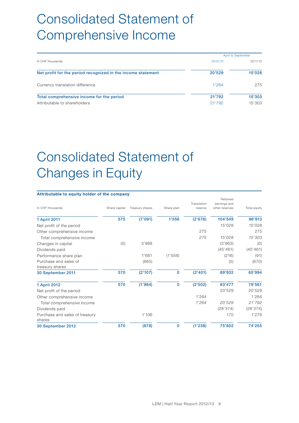## Consolidated Statement of Comprehensive Income

|                                                              | April to September |         |  |
|--------------------------------------------------------------|--------------------|---------|--|
| In CHF thousands                                             | 2012/13            | 2011/12 |  |
| Net profit for the period recognized in the income statement | 20'529             | 15'028  |  |
| Currency translation difference                              | 1'264              | 275     |  |
| Total comprehensive income for the period                    | 21'792             | 15'303  |  |
| Attributable to shareholders                                 | 21'792             | 15'303  |  |

# Consolidated Statement of Changes in Equity

## **Attributable to equity holder of the company**

|                                          |               |                 |             | Translation | Retained<br>earnings and |              |
|------------------------------------------|---------------|-----------------|-------------|-------------|--------------------------|--------------|
| In CHF thousands                         | Share capital | Treasury shares | Share plan  | reserve     | other reserves           | Total equity |
| 1 April 2011                             | 575           | (7'091)         | 1'556       | (2'676)     | 104'549                  | 96'913       |
| Net profit of the period                 |               |                 |             |             | 15'028                   | 15'028       |
| Other comprehensive income               |               |                 |             | 275         |                          | 275          |
| Total comprehensive income               |               |                 |             | 275         | 15'028                   | 15'303       |
| Changes in capital                       | (5)           | 3'968           |             |             | (3'963)                  | (0)          |
| Dividends paid                           |               |                 |             |             | (45'461)                 | (45'461)     |
| Performance share plan                   |               | 1'681           | (1'556)     |             | (216)                    | (91)         |
| Purchase and sales of<br>treasury shares |               | (665)           |             |             | (5)                      | (670)        |
| 30 September 2011                        | 570           | (2'107)         | $\mathbf 0$ | (2'401)     | 69'932                   | 65'994       |
| 1 April 2012                             | 570           | (1'984)         | $\mathbf 0$ | (2'502)     | 83'477                   | 79'561       |
| Net profit of the period                 |               |                 |             |             | 20'529                   | 20'529       |
| Other comprehensive income               |               |                 |             | 1'264       |                          | 1'264        |
| Total comprehensive income               |               |                 |             | 1'264       | 20'529                   | 21'792       |
| Dividends paid                           |               |                 |             |             | (28'374)                 | (28'374)     |
| Purchase and sales of treasury<br>shares |               | 1'106           |             |             | 170                      | 1'276        |
| 30 September 2012                        | 570           | (878)           | $\mathbf 0$ | (1'238)     | 75'802                   | 74'255       |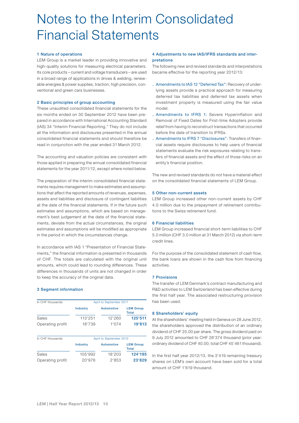## Notes to the Interim Consolidated Financial Statements

### **1 Nature of operations**

LEM Group is a market leader in providing innovative and high-quality solutions for measuring electrical parameters. Its core products – current and voltage transducers – are used in a broad range of applications in drives & welding, renewable energies & power supplies, traction, high precision, conventional and green cars businesses.

### **2 Basic principles of group accounting**

These unaudited consolidated financial statements for the six months ended on 30 September 2012 have been prepared in accordance with International Accounting Standard (IAS) 34 "Interim Financial Reporting." They do not include all the information and disclosures presented in the annual consolidated financial statements and should therefore be read in conjunction with the year ended 31 March 2012.

The accounting and valuation policies are consistent with those applied in preparing the annual consolidated financial statements for the year 2011/12, except where noted below.

The preparation of the interim consolidated financial statements requires management to make estimates and assumptions that affect the reported amounts of revenues, expenses, assets and liabilities and disclosure of contingent liabilities at the date of the financial statements. If in the future such estimates and assumptions, which are based on management's best judgement at the date of the financial statements, deviate from the actual circumstances, the original estimates and assumptions will be modified as appropriate in the period in which the circumstances change.

In accordance with IAS 1 "Presentation of Financial Statements," the financial information is presented in thousands of CHF. The totals are calculated with the original unit amounts, which could lead to rounding differences. These differences in thousands of units are not changed in order to keep the accuracy of the original data.

### **3 Segment information**

| In CHF thousands |          | April to September 2011 |                           |  |
|------------------|----------|-------------------------|---------------------------|--|
|                  | Industry | <b>Automotive</b>       | <b>LEM Group</b><br>Total |  |
| Sales            | 113'251  | 12'260                  | 125'511                   |  |
| Operating profit | 18'739   | 1'074                   | 19'813                    |  |

| In CHF thousands |          | April to September 2012 |                                  |  |
|------------------|----------|-------------------------|----------------------------------|--|
|                  | Industry | Automotive              | <b>LEM Group</b><br><b>Total</b> |  |
| Sales            | 105'992  | 18'203                  | 124'195                          |  |
| Operating profit | 20'976   | 2'853                   | 23'829                           |  |

### **4 Adjustments to new IAS/IFRS standards and interpretations**

The following new and revised standards and interpretations became effective for the reporting year 2012/13:

- \_ Amendments to IAS 12 "Deferred Tax": Recovery of underlying assets provide a practical approach for measuring deferred tax liabilities and deferred tax assets when investment property is measured using the fair value model.
- Amendments to IFRS 1: Severe Hyperinflation and Removal of Fixed Dates for First-time Adopters provide relief from having to reconstruct transactions that occurred before the date of transition to IFRSs.
- Amendments to IFRS 7 "Disclosures": Transfers of financial assets require disclosures to help users of financial statements evaluate the risk exposures relating to transfers of financial assets and the effect of those risks on an entity's financial position.

The new and revised standards do not have a material effect on the consolidated financial statements of LEM Group.

### **5 Other non-current assets**

LEM Group increased other non-current assets by CHF 4.0 million due to the prepayment of retirement contributions to the Swiss retirement fund.

### **6 Financial liabilities**

LEM Group increased financial short-term liabilities to CHF 5.0 million (CHF 3.0 million at 31 March 2012) via short-term credit lines.

For the purpose of the consolidated statement of cash flow, the bank loans are shown in the cash flow from financing activities.

### **7 Provisions**

The transfer of LEM Denmark's contract manufacturing and R&D activities to LEM Switzerland has been effective during the first half year. The associated restructuring provision has been used.

### **8 Shareholders' equity**

At the shareholders' meeting held in Geneva on 28 June 2012, the shareholders approved the distribution of an ordinary dividend of CHF 25.00 per share. The gross dividend paid on 9 July 2012 amounted to CHF 28'374 thousand (prior year: ordinary dividend of CHF 40.00; total CHF 45'461 thousand).

In the first half year 2012/13, the 3'419 remaining treasury shares on LEM's own account have been sold for a total amount of CHF 1'619 thousand.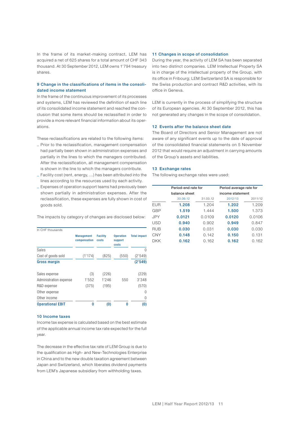In the frame of its market-making contract, LEM has acquired a net of 625 shares for a total amount of CHF 343 thousand. At 30 September 2012, LEM owns 1'794 treasury shares.

### **9 Change in the classifications of items in the consolidated income statement**

In the frame of the continuous improvement of its processes and systems, LEM has reviewed the definition of each line of its consolidated income statement and reached the conclusion that some items should be reclassified in order to provide a more relevant financial information about its operations.

These reclassifications are related to the following items:

- \_ Prior to the reclassification, management compensation had partially been shown in administration expenses and partially in the lines to which the managers contributed. After the reclassification, all management compensation is shown in the line to which the managers contribute.
- \_ Facility cost (rent, energy, ...) has been attributed into the lines according to the resources used by each activity.
- \_ Expenses of operation support teams had previously been shown partially in administration expenses. After the reclassification, these expenses are fully shown in cost of goods sold.

The impacts by category of changes are disclosed below:

| In CHF thousands        |                                   |                          |                                      |                     |
|-------------------------|-----------------------------------|--------------------------|--------------------------------------|---------------------|
|                         | <b>Management</b><br>compensation | <b>Facility</b><br>costs | <b>Operation</b><br>support<br>costs | <b>Total impact</b> |
| Sales                   |                                   |                          |                                      | U                   |
| Cost of goods sold      | (1'174)                           | (825)                    | (550)                                | (2'549)             |
| <b>Gross margin</b>     |                                   |                          |                                      | (2'549)             |
| Sales expense           | (3)                               | (226)                    |                                      | (229)               |
| Administration expense  | 1'552                             | 1'246                    | 550                                  | 3'348               |
| R&D expense             | (375)                             | (195)                    |                                      | (570)               |
| Other expense           |                                   |                          |                                      | $\left( \right)$    |
| Other income            |                                   |                          |                                      | $\left( \right)$    |
| <b>Operational EBIT</b> | O                                 | (0)                      | 0                                    | (0)                 |

#### **10 Income taxes**

Income tax expense is calculated based on the best estimate of the applicable annual income tax rate expected for the full year.

The decrease in the effective tax rate of LEM Group is due to the qualification as High- and New-Technologies Enterprise in China and to the new double taxation agreement between Japan and Switzerland, which liberates dividend payments from LEM's Japanese subsidiary from withholding taxes.

### **11 Changes in scope of consolidation**

During the year, the activity of LEM SA has been separated into two distinct companies. LEM Intellectual Property SA is in charge of the intellectual property of the Group, with its office in Fribourg; LEM Switzerland SA is responsible for the Swiss production and contract R&D activities, with its office in Geneva.

LEM is currently in the process of simplifying the structure of its European agencies. At 30 September 2012, this has not generated any changes in the scope of consolidation.

### **12 Events after the balance sheet date**

The Board of Directors and Senior Management are not aware of any significant events up to the date of approval of the consolidated financial statements on 5 November 2012 that would require an adjustment in carrying amounts of the Group's assets and liabilities.

#### **13 Exchange rates**

The following exchange rates were used:

|            | Period-end rate for |          | Period average rate for |                  |
|------------|---------------------|----------|-------------------------|------------------|
|            | balance sheet       |          |                         | income statement |
|            | 30.09.12            | 31.03.12 | 2012/13                 | 2011/12          |
| <b>EUR</b> | 1.208               | 1.204    | 1.202                   | 1.209            |
| GBP        | 1.519               | 1.444    | 1.500                   | 1.373            |
| JPY        | 0.0121              | 0.0109   | 0.0120                  | 0.0106           |
| USD        | 0.940               | 0.902    | 0.949                   | 0.847            |
| <b>RUB</b> | 0.030               | 0.031    | 0.030                   | 0.030            |
| CNY        | 0.148               | 0.142    | 0.150                   | 0.131            |
| DKK        | 0.162               | 0.162    | 0.162                   | 0.162            |
|            |                     |          |                         |                  |